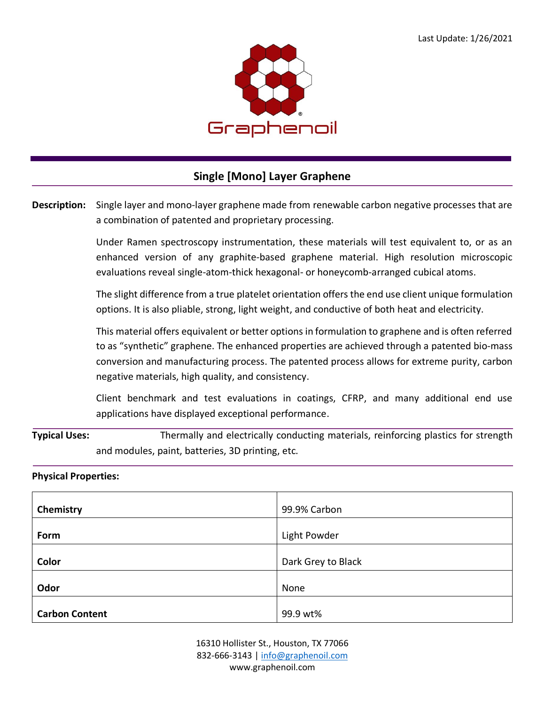

## **Single [Mono] Layer Graphene**

**Description:** Single layer and mono-layer graphene made from renewable carbon negative processes that are a combination of patented and proprietary processing.

> Under Ramen spectroscopy instrumentation, these materials will test equivalent to, or as an enhanced version of any graphite-based graphene material. High resolution microscopic evaluations reveal single-atom-thick hexagonal- or honeycomb-arranged cubical atoms.

> The slight difference from a true platelet orientation offers the end use client unique formulation options. It is also pliable, strong, light weight, and conductive of both heat and electricity.

> This material offers equivalent or better options in formulation to graphene and is often referred to as "synthetic" graphene. The enhanced properties are achieved through a patented bio-mass conversion and manufacturing process. The patented process allows for extreme purity, carbon negative materials, high quality, and consistency.

> Client benchmark and test evaluations in coatings, CFRP, and many additional end use applications have displayed exceptional performance.

**Typical Uses:** Thermally and electrically conducting materials, reinforcing plastics for strength and modules, paint, batteries, 3D printing, etc.

## **Physical Properties:**

| Chemistry             | 99.9% Carbon       |
|-----------------------|--------------------|
| Form                  | Light Powder       |
| Color                 | Dark Grey to Black |
| Odor                  | None               |
| <b>Carbon Content</b> | 99.9 wt%           |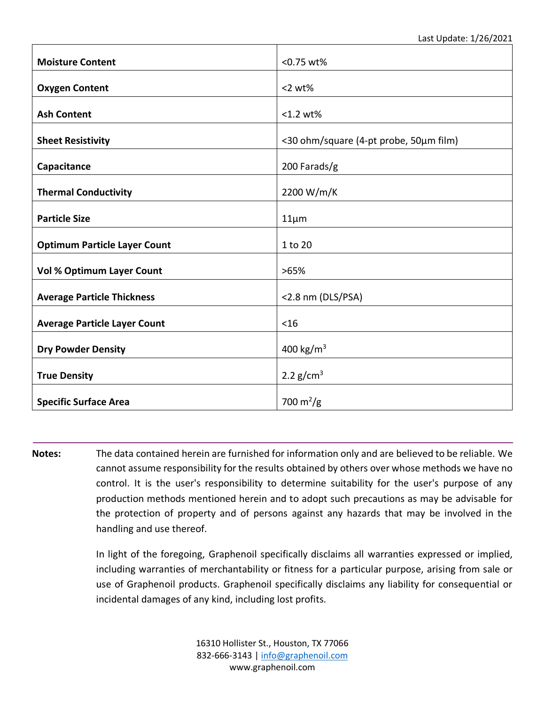Last Update: 1/26/2021

| <b>Moisture Content</b>             | <0.75 wt%                              |
|-------------------------------------|----------------------------------------|
| <b>Oxygen Content</b>               | $<$ 2 wt $%$                           |
| <b>Ash Content</b>                  | <1.2 wt%                               |
| <b>Sheet Resistivity</b>            | <30 ohm/square (4-pt probe, 50µm film) |
| Capacitance                         | 200 Farads/g                           |
| <b>Thermal Conductivity</b>         | 2200 W/m/K                             |
| <b>Particle Size</b>                | $11 \mu m$                             |
| <b>Optimum Particle Layer Count</b> | 1 to 20                                |
| <b>Vol % Optimum Layer Count</b>    | >65%                                   |
| <b>Average Particle Thickness</b>   | <2.8 nm (DLS/PSA)                      |
| <b>Average Particle Layer Count</b> | $<$ 16                                 |
| <b>Dry Powder Density</b>           | 400 kg/m <sup>3</sup>                  |
| <b>True Density</b>                 | 2.2 $g/cm^3$                           |
| <b>Specific Surface Area</b>        | 700 m <sup>2</sup> /g                  |

**Notes:** The data contained herein are furnished for information only and are believed to be reliable. We cannot assume responsibility for the results obtained by others over whose methods we have no control. It is the user's responsibility to determine suitability for the user's purpose of any production methods mentioned herein and to adopt such precautions as may be advisable for the protection of property and of persons against any hazards that may be involved in the handling and use thereof.

> In light of the foregoing, Graphenoil specifically disclaims all warranties expressed or implied, including warranties of merchantability or fitness for a particular purpose, arising from sale or use of Graphenoil products. Graphenoil specifically disclaims any liability for consequential or incidental damages of any kind, including lost profits.